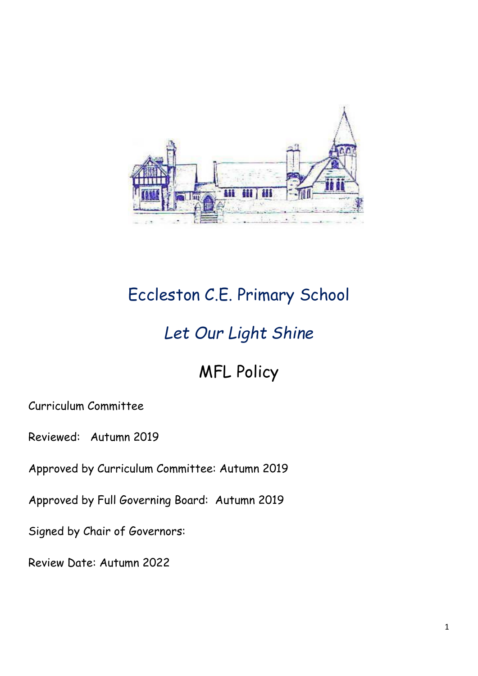

# Eccleston C.E. Primary School

## *Let Our Light Shine*

## MFL Policy

Curriculum Committee

Reviewed: Autumn 2019

Approved by Curriculum Committee: Autumn 2019

Approved by Full Governing Board: Autumn 2019

Signed by Chair of Governors:

Review Date: Autumn 2022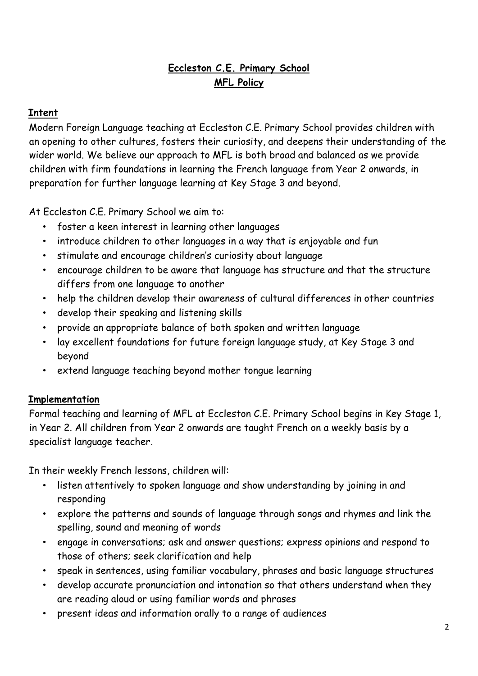### **Eccleston C.E. Primary School MFL Policy**

#### **Intent**

Modern Foreign Language teaching at Eccleston C.E. Primary School provides children with an opening to other cultures, fosters their curiosity, and deepens their understanding of the wider world. We believe our approach to MFL is both broad and balanced as we provide children with firm foundations in learning the French language from Year 2 onwards, in preparation for further language learning at Key Stage 3 and beyond.

At Eccleston C.E. Primary School we aim to:

- foster a keen interest in learning other languages
- introduce children to other languages in a way that is enjoyable and fun
- stimulate and encourage children's curiosity about language
- encourage children to be aware that language has structure and that the structure differs from one language to another
- help the children develop their awareness of cultural differences in other countries
- develop their speaking and listening skills
- provide an appropriate balance of both spoken and written language
- lay excellent foundations for future foreign language study, at Key Stage 3 and beyond
- extend language teaching beyond mother tongue learning

#### **Implementation**

Formal teaching and learning of MFL at Eccleston C.E. Primary School begins in Key Stage 1, in Year 2. All children from Year 2 onwards are taught French on a weekly basis by a specialist language teacher.

In their weekly French lessons, children will:

- listen attentively to spoken language and show understanding by joining in and responding
- explore the patterns and sounds of language through songs and rhymes and link the spelling, sound and meaning of words
- engage in conversations; ask and answer questions; express opinions and respond to those of others; seek clarification and help
- speak in sentences, using familiar vocabulary, phrases and basic language structures
- develop accurate pronunciation and intonation so that others understand when they are reading aloud or using familiar words and phrases
- present ideas and information orally to a range of audiences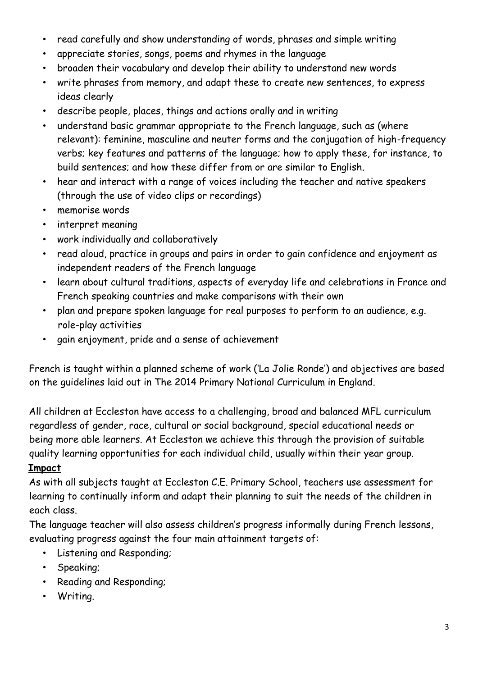- read carefully and show understanding of words, phrases and simple writing
- appreciate stories, songs, poems and rhymes in the language
- broaden their vocabulary and develop their ability to understand new words
- write phrases from memory, and adapt these to create new sentences, to express ideas clearly
- describe people, places, things and actions orally and in writing
- understand basic grammar appropriate to the French language, such as (where relevant): feminine, masculine and neuter forms and the conjugation of high-frequency verbs; key features and patterns of the language; how to apply these, for instance, to build sentences; and how these differ from or are similar to English.
- hear and interact with a range of voices including the teacher and native speakers (through the use of video clips or recordings)
- memorise words
- interpret meaning
- work individually and collaboratively
- read aloud, practice in groups and pairs in order to gain confidence and enjoyment as independent readers of the French language
- learn about cultural traditions, aspects of everyday life and celebrations in France and French speaking countries and make comparisons with their own
- plan and prepare spoken language for real purposes to perform to an audience, e.g. role-play activities
- gain enjoyment, pride and a sense of achievement

French is taught within a planned scheme of work ('La Jolie Ronde') and objectives are based on the guidelines laid out in The 2014 Primary National Curriculum in England.

All children at Eccleston have access to a challenging, broad and balanced MFL curriculum regardless of gender, race, cultural or social background, special educational needs or being more able learners. At Eccleston we achieve this through the provision of suitable quality learning opportunities for each individual child, usually within their year group.

### **Impact**

As with all subjects taught at Eccleston C.E. Primary School, teachers use assessment for learning to continually inform and adapt their planning to suit the needs of the children in each class.

The language teacher will also assess children's progress informally during French lessons, evaluating progress against the four main attainment targets of:

- Listening and Responding;
- Speaking;
- Reading and Responding;
- Writing.